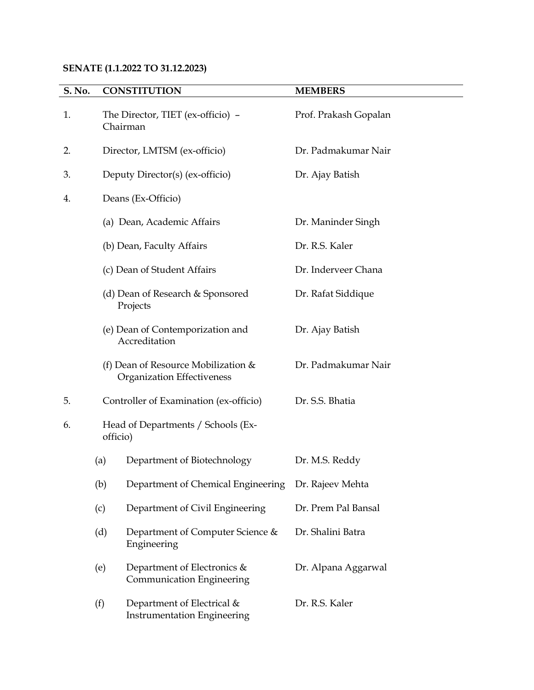# **SENATE (1.1.2022 TO 31.12.2023)**

| S. No. |                                                                                                                                  | <b>CONSTITUTION</b>                                                 | <b>MEMBERS</b>        |
|--------|----------------------------------------------------------------------------------------------------------------------------------|---------------------------------------------------------------------|-----------------------|
| 1.     |                                                                                                                                  | The Director, TIET (ex-officio) -<br>Chairman                       | Prof. Prakash Gopalan |
| 2.     | Director, LMTSM (ex-officio)                                                                                                     |                                                                     | Dr. Padmakumar Nair   |
| 3.     | Deputy Director(s) (ex-officio)                                                                                                  |                                                                     | Dr. Ajay Batish       |
| 4.     | Deans (Ex-Officio)                                                                                                               |                                                                     |                       |
|        |                                                                                                                                  | (a) Dean, Academic Affairs                                          | Dr. Maninder Singh    |
|        |                                                                                                                                  | (b) Dean, Faculty Affairs                                           | Dr. R.S. Kaler        |
|        | (c) Dean of Student Affairs<br>(d) Dean of Research & Sponsored<br>Projects<br>(e) Dean of Contemporization and<br>Accreditation |                                                                     | Dr. Inderveer Chana   |
|        |                                                                                                                                  |                                                                     | Dr. Rafat Siddique    |
|        |                                                                                                                                  |                                                                     | Dr. Ajay Batish       |
|        |                                                                                                                                  | (f) Dean of Resource Mobilization $&$<br>Organization Effectiveness | Dr. Padmakumar Nair   |
| 5.     | Controller of Examination (ex-officio)                                                                                           |                                                                     | Dr. S.S. Bhatia       |
| 6.     | Head of Departments / Schools (Ex-<br>officio)                                                                                   |                                                                     |                       |
|        | (a)                                                                                                                              | Department of Biotechnology                                         | Dr. M.S. Reddy        |
|        | (b)                                                                                                                              | Department of Chemical Engineering                                  | Dr. Rajeev Mehta      |
|        | (c)                                                                                                                              | Department of Civil Engineering                                     | Dr. Prem Pal Bansal   |
|        | (d)                                                                                                                              | Department of Computer Science &<br>Engineering                     | Dr. Shalini Batra     |
|        | (e)                                                                                                                              | Department of Electronics &<br>Communication Engineering            | Dr. Alpana Aggarwal   |
|        | (f)                                                                                                                              | Department of Electrical &<br><b>Instrumentation Engineering</b>    | Dr. R.S. Kaler        |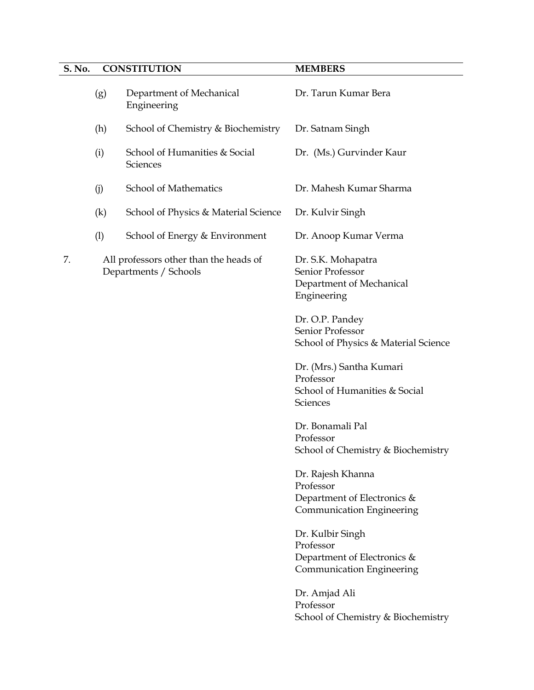# **S. No. CONSTITUTION MEMBERS** (g) Department of Mechanical Engineering Dr. Tarun Kumar Bera (h) School of Chemistry & Biochemistry Dr. Satnam Singh (i) School of Humanities & Social **Sciences** Dr. (Ms.) Gurvinder Kaur (j) School of Mathematics Dr. Mahesh Kumar Sharma (k) School of Physics & Material Science Dr. Kulvir Singh (l) School of Energy & Environment Dr. Anoop Kumar Verma 7. All professors other than the heads of Departments / Schools Dr. S.K. Mohapatra Senior Professor Department of Mechanical Engineering Dr. O.P. Pandey Senior Professor School of Physics & Material Science Dr. (Mrs.) Santha Kumari Professor School of Humanities & Social **Sciences** Dr. Bonamali Pal Professor School of Chemistry & Biochemistry Dr. Rajesh Khanna Professor Department of Electronics & Communication Engineering Dr. Kulbir Singh Professor Department of Electronics & Communication Engineering Dr. Amjad Ali Professor

School of Chemistry & Biochemistry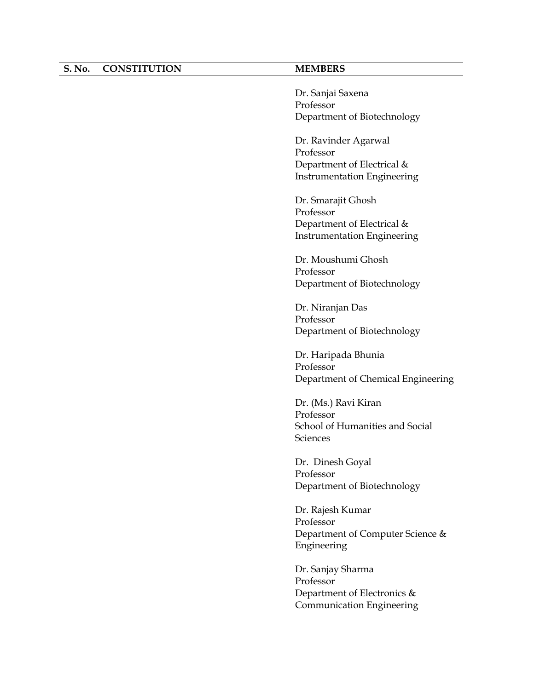### **S. No. CONSTITUTION MEMBERS**

Dr. Sanjai Saxena Professor Department of Biotechnology

Dr. Ravinder Agarwal Professor Department of Electrical & Instrumentation Engineering

Dr. Smarajit Ghosh Professor Department of Electrical & Instrumentation Engineering

Dr. Moushumi Ghosh Professor Department of Biotechnology

Dr. Niranjan Das Professor Department of Biotechnology

Dr. Haripada Bhunia Professor Department of Chemical Engineering

Dr. (Ms.) Ravi Kiran Professor School of Humanities and Social Sciences

Dr. Dinesh Goyal Professor Department of Biotechnology

Dr. Rajesh Kumar Professor Department of Computer Science & Engineering

Dr. Sanjay Sharma Professor Department of Electronics & Communication Engineering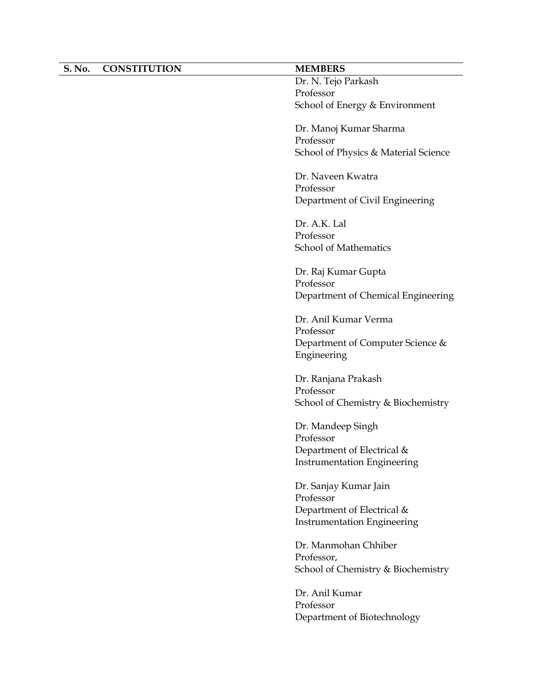| S. No. | <b>CONSTITUTION</b> | <b>MEMBERS</b>                       |
|--------|---------------------|--------------------------------------|
|        |                     | Dr. N. Tejo Parkash                  |
|        |                     | Professor                            |
|        |                     | School of Energy & Environment       |
|        |                     | Dr. Manoj Kumar Sharma               |
|        |                     | Professor                            |
|        |                     | School of Physics & Material Science |
|        |                     | Dr. Naveen Kwatra                    |
|        |                     | Professor                            |
|        |                     | Department of Civil Engineering      |
|        |                     | Dr. A.K. Lal                         |
|        |                     | Professor                            |
|        |                     | <b>School of Mathematics</b>         |
|        |                     | Dr. Raj Kumar Gupta                  |
|        |                     | Professor                            |
|        |                     | Department of Chemical Engineering   |
|        |                     | Dr. Anil Kumar Verma                 |
|        |                     | Professor                            |
|        |                     | Department of Computer Science &     |
|        |                     | Engineering                          |
|        |                     | Dr. Ranjana Prakash                  |
|        |                     | Professor                            |
|        |                     | School of Chemistry & Biochemistry   |
|        |                     | Dr. Mandeep Singh                    |
|        |                     | Professor                            |
|        |                     | Department of Electrical &           |
|        |                     | <b>Instrumentation Engineering</b>   |
|        |                     | Dr. Sanjay Kumar Jain                |
|        |                     | Professor                            |
|        |                     | Department of Electrical &           |
|        |                     | <b>Instrumentation Engineering</b>   |
|        |                     | Dr. Manmohan Chhiber                 |
|        |                     | Professor,                           |
|        |                     | School of Chemistry & Biochemistry   |
|        |                     | Dr. Anil Kumar                       |
|        |                     | Professor                            |
|        |                     | Department of Biotechnology          |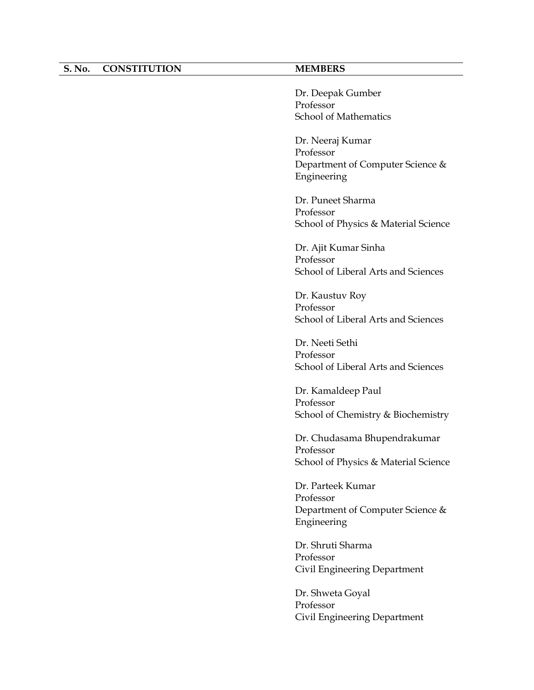### **S. No. CONSTITUTION MEMBERS**

Dr. Deepak Gumber Professor School of Mathematics

Dr. Neeraj Kumar Professor Department of Computer Science & Engineering

Dr. Puneet Sharma Professor School of Physics & Material Science

Dr. Ajit Kumar Sinha Professor School of Liberal Arts and Sciences

Dr. Kaustuv Roy Professor School of Liberal Arts and Sciences

Dr. Neeti Sethi Professor School of Liberal Arts and Sciences

Dr. Kamaldeep Paul Professor School of Chemistry & Biochemistry

Dr. Chudasama Bhupendrakumar Professor School of Physics & Material Science

Dr. Parteek Kumar Professor Department of Computer Science & Engineering

Dr. Shruti Sharma Professor Civil Engineering Department

Dr. Shweta Goyal Professor Civil Engineering Department